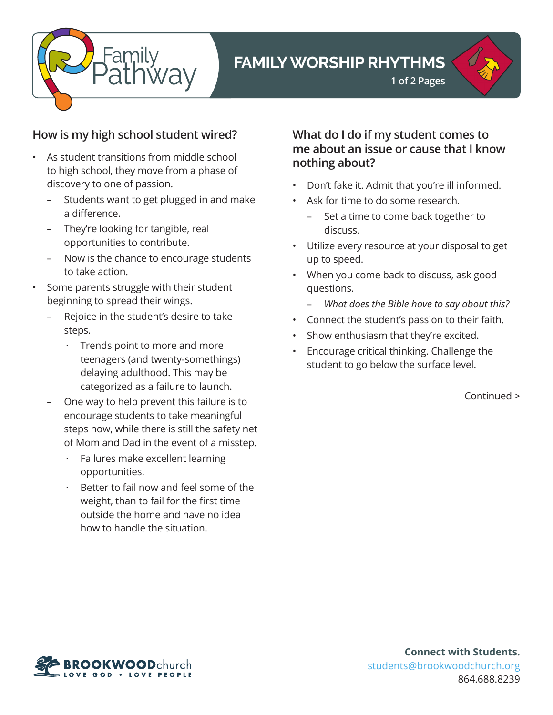

# **FAMILY WORSHIP RHYTHMS**



### **How is my high school student wired?**

- As student transitions from middle school to high school, they move from a phase of discovery to one of passion.
	- Students want to get plugged in and make a difference.
	- They're looking for tangible, real opportunities to contribute.
	- Now is the chance to encourage students to take action.
- Some parents struggle with their student beginning to spread their wings.
	- Rejoice in the student's desire to take steps.
		- Trends point to more and more teenagers (and twenty-somethings) delaying adulthood. This may be categorized as a failure to launch.
	- One way to help prevent this failure is to encourage students to take meaningful steps now, while there is still the safety net of Mom and Dad in the event of a misstep.
		- Failures make excellent learning opportunities.
		- Better to fail now and feel some of the weight, than to fail for the first time outside the home and have no idea how to handle the situation.

### **What do I do if my student comes to me about an issue or cause that I know nothing about?**

- Don't fake it. Admit that you're ill informed.
- Ask for time to do some research.
	- Set a time to come back together to discuss.
- Utilize every resource at your disposal to get up to speed.
- When you come back to discuss, ask good questions.
	- *What does the Bible have to say about this?*
- Connect the student's passion to their faith.
- Show enthusiasm that they're excited.
- Encourage critical thinking. Challenge the student to go below the surface level.

Continued >